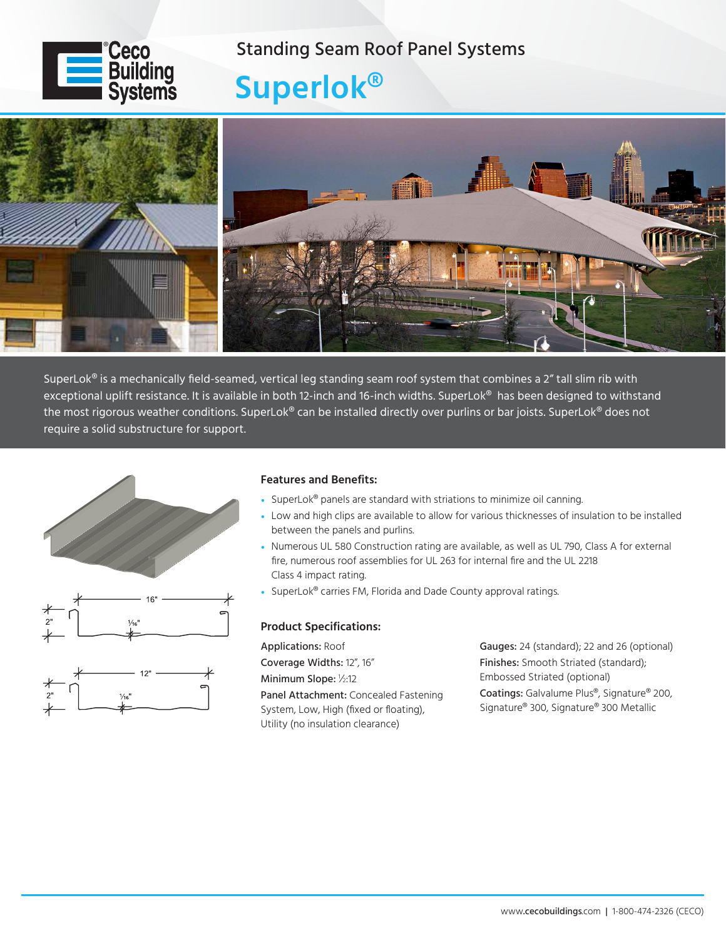

### Standing Seam Roof Panel Systems

# **Superlok®**



SuperLok<sup>®</sup> is a mechanically field-seamed, vertical leg standing seam roof system that combines a 2" tall slim rib with exceptional uplift resistance. It is available in both 12-inch and 16-inch widths. SuperLok<sup>®</sup> has been designed to withstand the most rigorous weather conditions. SuperLok® can be installed directly over purlins or bar joists. SuperLok® does not require a solid substructure for support.



### **Features and Benefits:**

- SuperLok<sup>®</sup> panels are standard with striations to minimize oil canning.
- Low and high clips are available to allow for various thicknesses of insulation to be installed between the panels and purlins.
- Numerous UL 580 Construction rating are available, as well as UL 790, Class A for external fire, numerous roof assemblies for UL 263 for internal fire and the UL 2218 Class 4 impact rating.
- SuperLok® carries FM, Florida and Dade County approval ratings.

#### **Product Specifications:**

Applications: Roof Coverage Widths: 12", 16" Minimum Slope: 1/2:12 Panel Attachment: Concealed Fastening System, Low, High (fixed or floating), Utility (no insulation clearance)

Gauges: 24 (standard); 22 and 26 (optional) Finishes: Smooth Striated (standard); Embossed Striated (optional) Coatings: Galvalume Plus®, Signature® 200, Signature® 300, Signature® 300 Metallic